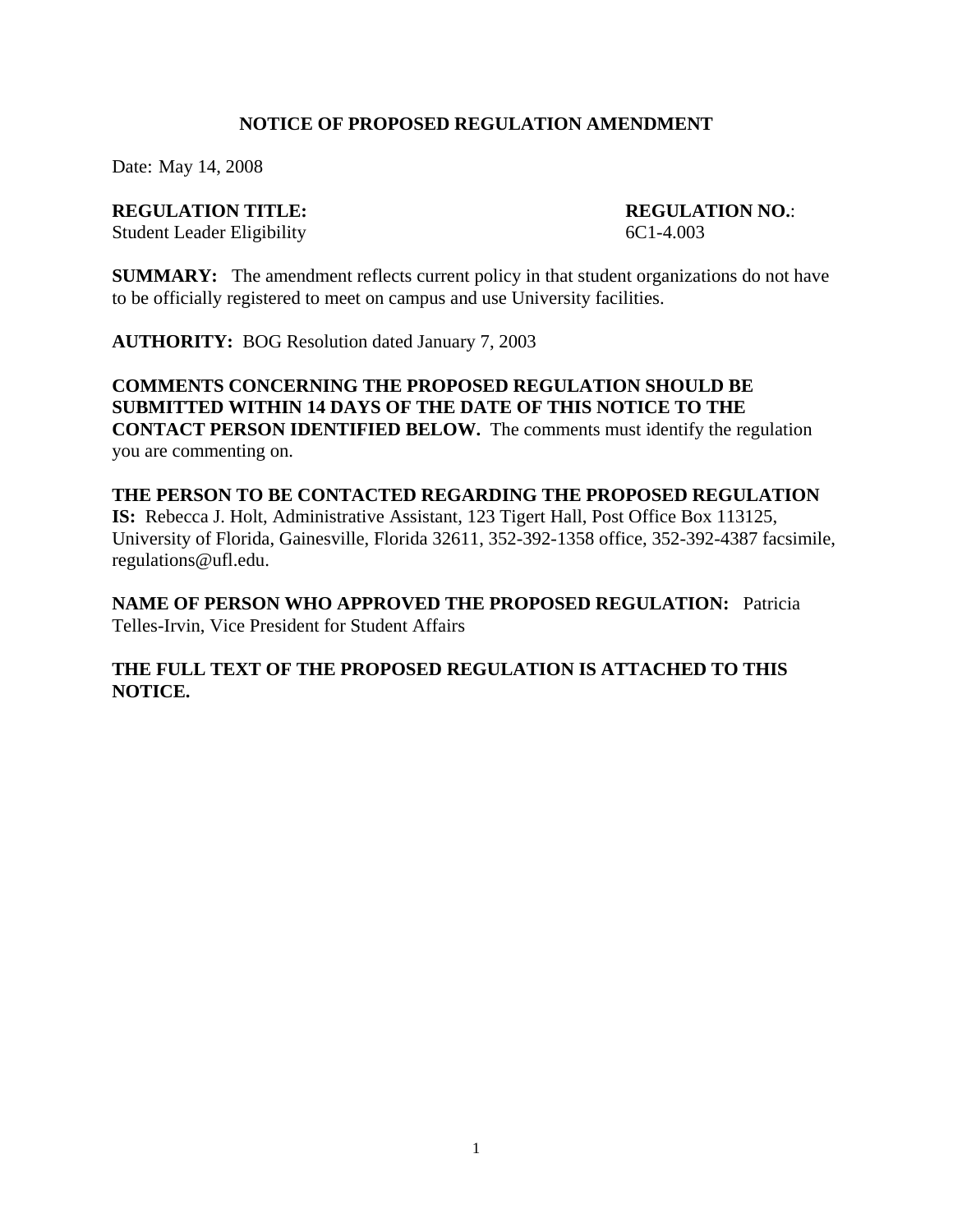## **NOTICE OF PROPOSED REGULATION AMENDMENT**

Date: May 14, 2008

#### **REGULATION TITLE: REGULATION NO.**:

Student Leader Eligibility 6C1-4.003

**SUMMARY:** The amendment reflects current policy in that student organizations do not have to be officially registered to meet on campus and use University facilities.

**AUTHORITY:** BOG Resolution dated January 7, 2003

## **COMMENTS CONCERNING THE PROPOSED REGULATION SHOULD BE SUBMITTED WITHIN 14 DAYS OF THE DATE OF THIS NOTICE TO THE CONTACT PERSON IDENTIFIED BELOW.** The comments must identify the regulation you are commenting on.

#### **THE PERSON TO BE CONTACTED REGARDING THE PROPOSED REGULATION**

**IS:** Rebecca J. Holt, Administrative Assistant, 123 Tigert Hall, Post Office Box 113125, University of Florida, Gainesville, Florida 32611, 352-392-1358 office, 352-392-4387 facsimile, regulations@ufl.edu.

**NAME OF PERSON WHO APPROVED THE PROPOSED REGULATION:** Patricia Telles-Irvin, Vice President for Student Affairs

# **THE FULL TEXT OF THE PROPOSED REGULATION IS ATTACHED TO THIS NOTICE.**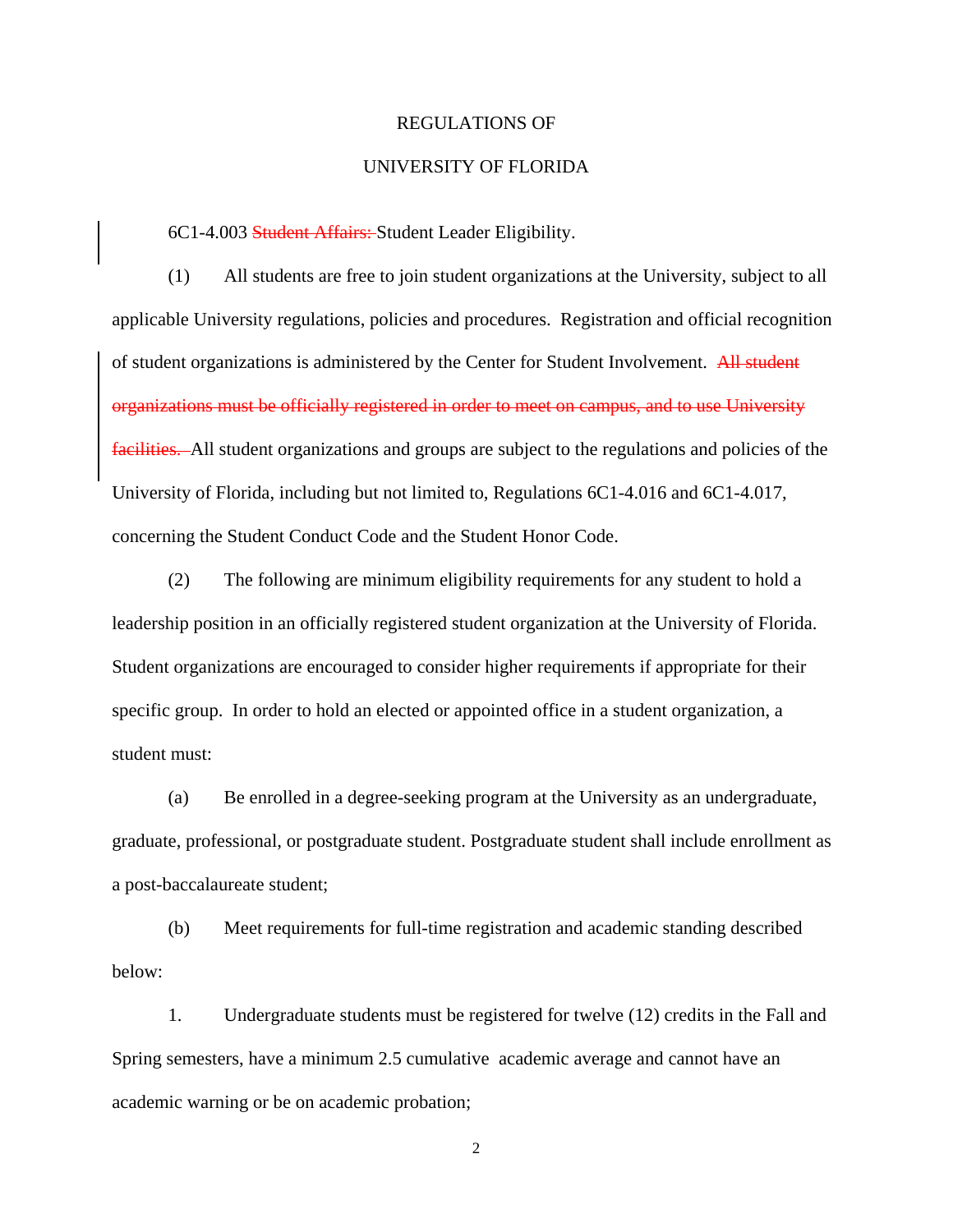#### REGULATIONS OF

#### UNIVERSITY OF FLORIDA

6C1-4.003 Student Affairs: Student Leader Eligibility.

(1) All students are free to join student organizations at the University, subject to all applicable University regulations, policies and procedures. Registration and official recognition of student organizations is administered by the Center for Student Involvement. All student organizations must be officially registered in order to meet on campus, and to use University facilities. All student organizations and groups are subject to the regulations and policies of the University of Florida, including but not limited to, Regulations 6C1-4.016 and 6C1-4.017, concerning the Student Conduct Code and the Student Honor Code.

(2) The following are minimum eligibility requirements for any student to hold a leadership position in an officially registered student organization at the University of Florida. Student organizations are encouraged to consider higher requirements if appropriate for their specific group.In order to hold an elected or appointed office in a student organization, a student must:

(a) Be enrolled in a degree-seeking program at the University as an undergraduate, graduate, professional, or postgraduate student. Postgraduate student shall include enrollment as a post-baccalaureate student;

(b) Meet requirements for full-time registration and academic standing described below:

1. Undergraduate students must be registered for twelve (12) credits in the Fall and Spring semesters, have a minimum 2.5 cumulative academic average and cannot have an academic warning or be on academic probation;

2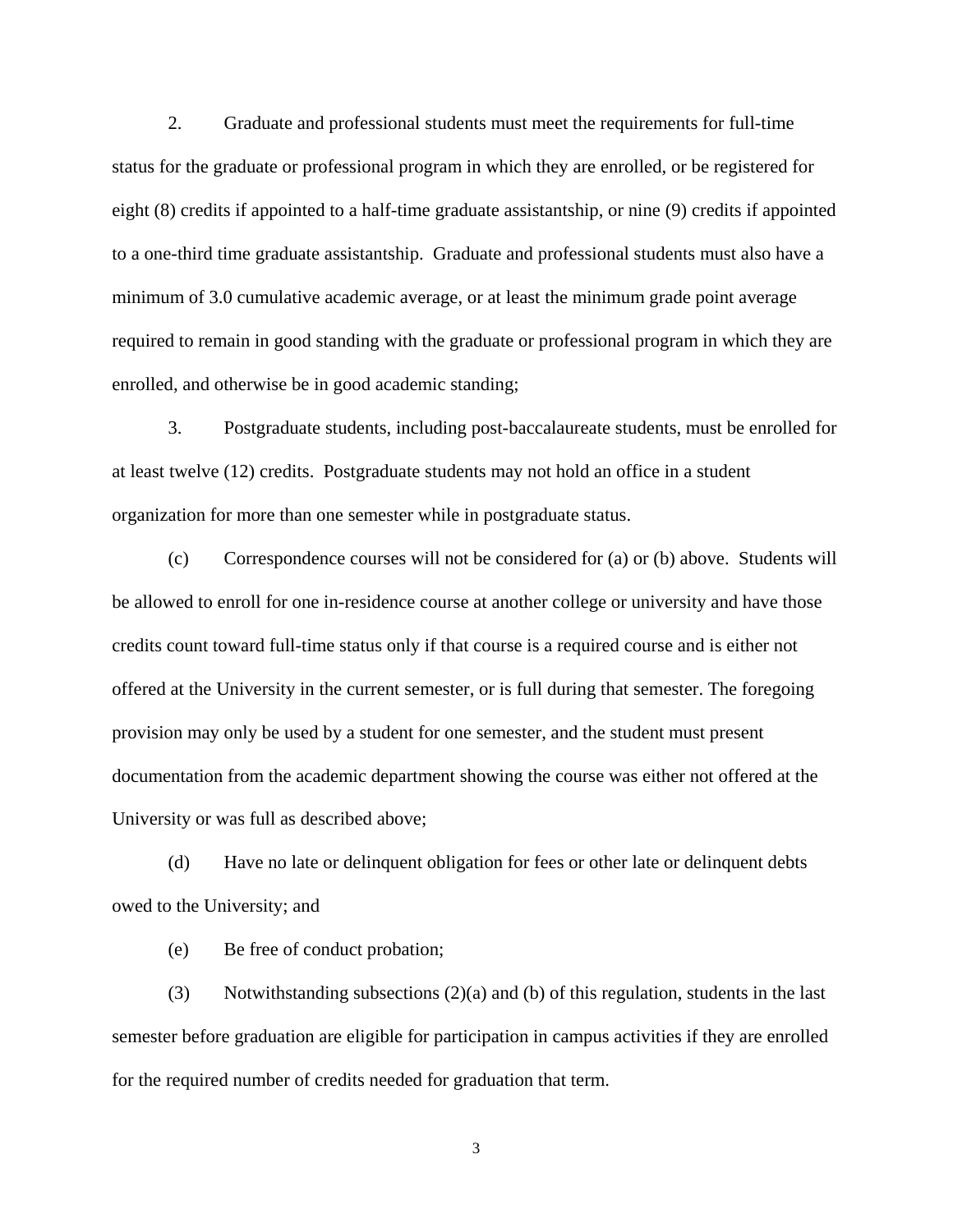2. Graduate and professional students must meet the requirements for full-time status for the graduate or professional program in which they are enrolled, or be registered for eight (8) credits if appointed to a half-time graduate assistantship, or nine (9) credits if appointed to a one-third time graduate assistantship. Graduate and professional students must also have a minimum of 3.0 cumulative academic average, or at least the minimum grade point average required to remain in good standing with the graduate or professional program in which they are enrolled, and otherwise be in good academic standing;

3. Postgraduate students, including post-baccalaureate students, must be enrolled for at least twelve (12) credits. Postgraduate students may not hold an office in a student organization for more than one semester while in postgraduate status.

(c) Correspondence courses will not be considered for (a) or (b) above. Students will be allowed to enroll for one in-residence course at another college or university and have those credits count toward full-time status only if that course is a required course and is either not offered at the University in the current semester, or is full during that semester. The foregoing provision may only be used by a student for one semester, and the student must present documentation from the academic department showing the course was either not offered at the University or was full as described above;

(d) Have no late or delinquent obligation for fees or other late or delinquent debts owed to the University; and

(e) Be free of conduct probation;

(3) Notwithstanding subsections (2)(a) and (b) of this regulation, students in the last semester before graduation are eligible for participation in campus activities if they are enrolled for the required number of credits needed for graduation that term.

3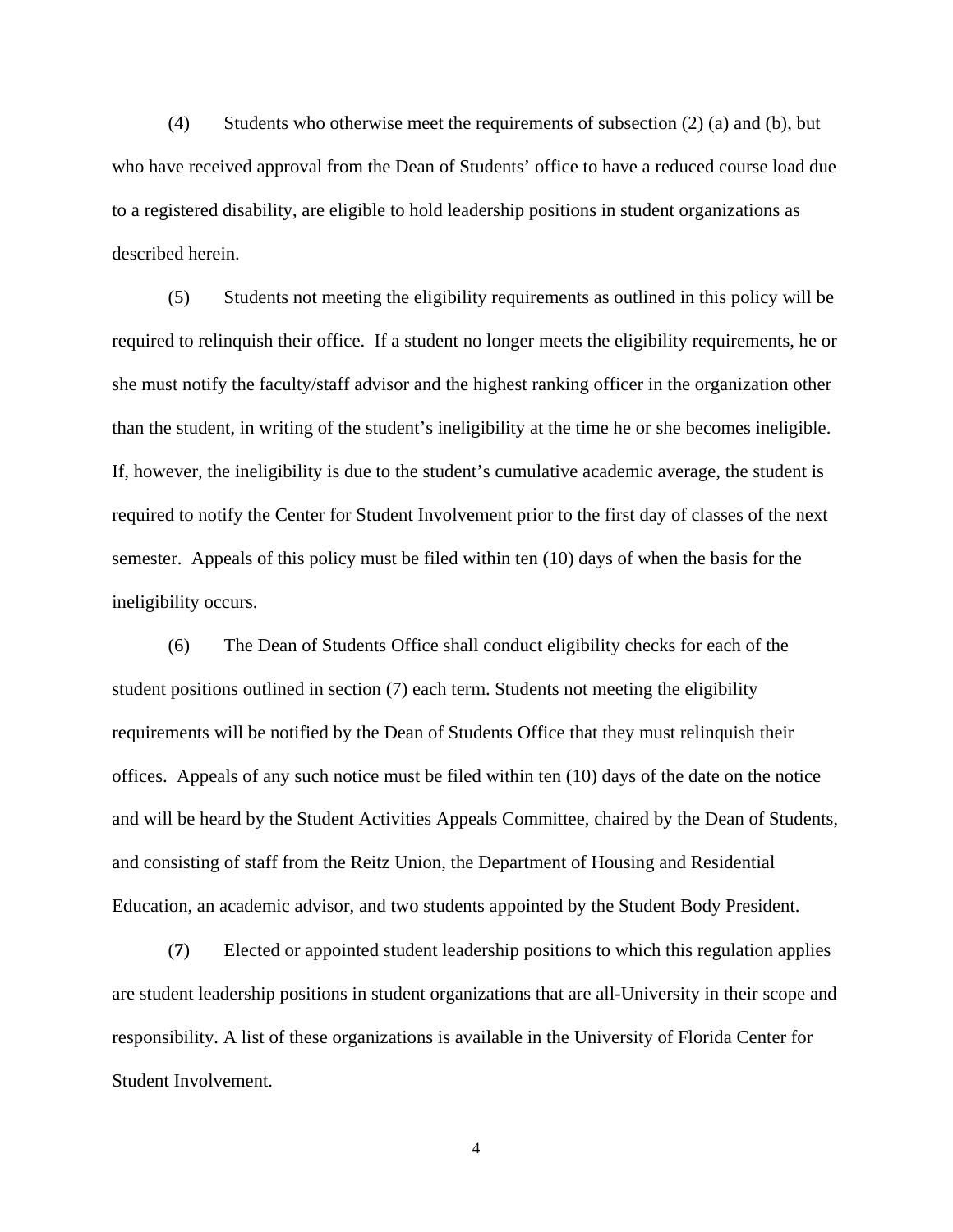(4) Students who otherwise meet the requirements of subsection (2) (a) and (b), but who have received approval from the Dean of Students' office to have a reduced course load due to a registered disability, are eligible to hold leadership positions in student organizations as described herein.

(5) Students not meeting the eligibility requirements as outlined in this policy will be required to relinquish their office. If a student no longer meets the eligibility requirements, he or she must notify the faculty/staff advisor and the highest ranking officer in the organization other than the student, in writing of the student's ineligibility at the time he or she becomes ineligible. If, however, the ineligibility is due to the student's cumulative academic average, the student is required to notify the Center for Student Involvement prior to the first day of classes of the next semester. Appeals of this policy must be filed within ten (10) days of when the basis for the ineligibility occurs.

(6) The Dean of Students Office shall conduct eligibility checks for each of the student positions outlined in section (7) each term. Students not meeting the eligibility requirements will be notified by the Dean of Students Office that they must relinquish their offices. Appeals of any such notice must be filed within ten (10) days of the date on the notice and will be heard by the Student Activities Appeals Committee, chaired by the Dean of Students, and consisting of staff from the Reitz Union, the Department of Housing and Residential Education, an academic advisor, and two students appointed by the Student Body President.

(**7**) Elected or appointed student leadership positions to which this regulation applies are student leadership positions in student organizations that are all-University in their scope and responsibility. A list of these organizations is available in the University of Florida Center for Student Involvement.

4